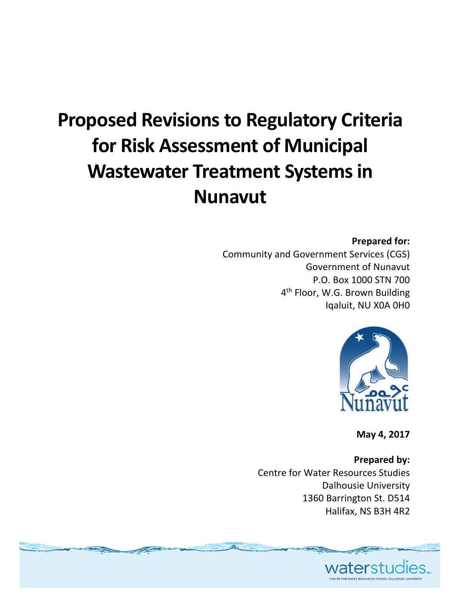# **Proposed Revisionsto Regulatory Criteria for Risk Assessment of Municipal Wastewater Treatment Systemsin Nunavut**

#### **Prepared for:**

Community and Government Services (CGS) Government of Nunavut P.O. Box 1000 STN 700 4<sup>th</sup> Floor, W.G. Brown Building Iqaluit, NU X0A 0H0



**May 4, 2017**

**Prepared by:** Centre for Water Resources Studies Dalhousie University 1360 Barrington St. D514 Halifax, NS B3H 4R2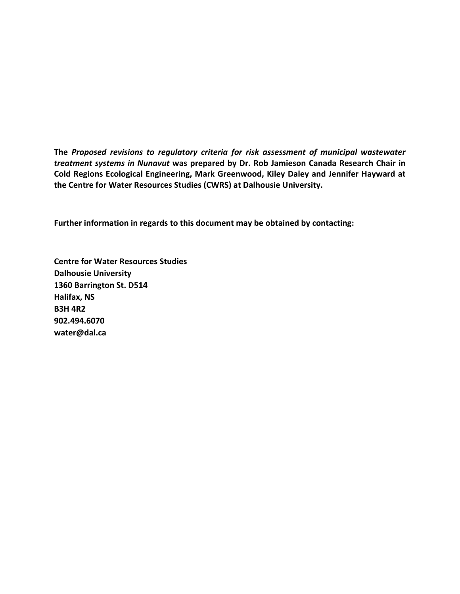**The** *Proposed revisions to regulatory criteria for risk assessment of municipal wastewater treatment systems in Nunavut* **was prepared by Dr. Rob Jamieson Canada Research Chair in Cold Regions Ecological Engineering, Mark Greenwood, Kiley Daley and Jennifer Hayward at the Centre for Water Resources Studies (CWRS) at Dalhousie University.** 

**Further information in regards to this document may be obtained by contacting:**

**Centre for Water Resources Studies Dalhousie University 1360 Barrington St. D514 Halifax, NS B3H 4R2 902.494.6070 water@dal.ca**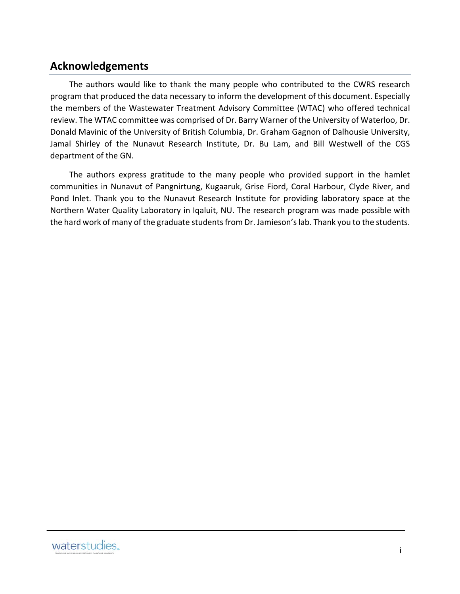### **Acknowledgements**

The authors would like to thank the many people who contributed to the CWRS research program that produced the data necessary to inform the development of this document. Especially the members of the Wastewater Treatment Advisory Committee (WTAC) who offered technical review. The WTAC committee was comprised of Dr. Barry Warner of the University of Waterloo, Dr. Donald Mavinic of the University of British Columbia, Dr. Graham Gagnon of Dalhousie University, Jamal Shirley of the Nunavut Research Institute, Dr. Bu Lam, and Bill Westwell of the CGS department of the GN.

The authors express gratitude to the many people who provided support in the hamlet communities in Nunavut of Pangnirtung, Kugaaruk, Grise Fiord, Coral Harbour, Clyde River, and Pond Inlet. Thank you to the Nunavut Research Institute for providing laboratory space at the Northern Water Quality Laboratory in Iqaluit, NU. The research program was made possible with the hard work of many of the graduate students from Dr. Jamieson's lab. Thank you to the students.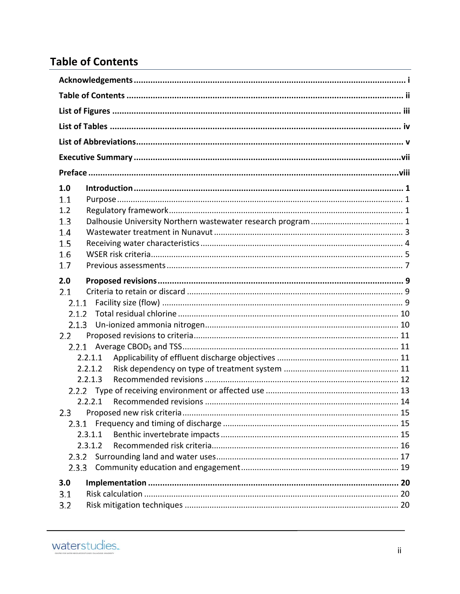# **Table of Contents**

| 1.0            |  |
|----------------|--|
| 1.1            |  |
| 1.2            |  |
| 1.3            |  |
| 1.4            |  |
| 1.5            |  |
| 1.6            |  |
| 1.7            |  |
| 2.0            |  |
| 2.1            |  |
| 2.1.1          |  |
| 2.1.2          |  |
| 2.1.3          |  |
| 2.2            |  |
|                |  |
| 2.2.1.1        |  |
| 2.2.1.2        |  |
| 2.2.1.3        |  |
|                |  |
| 2.2.2.1<br>2.3 |  |
| 2.3.1          |  |
| 2.3.1.1        |  |
| 2.3.1.2        |  |
| 2.3.2          |  |
| 2.3.3          |  |
|                |  |
| 3.0<br>3.1     |  |
| 3.2            |  |
|                |  |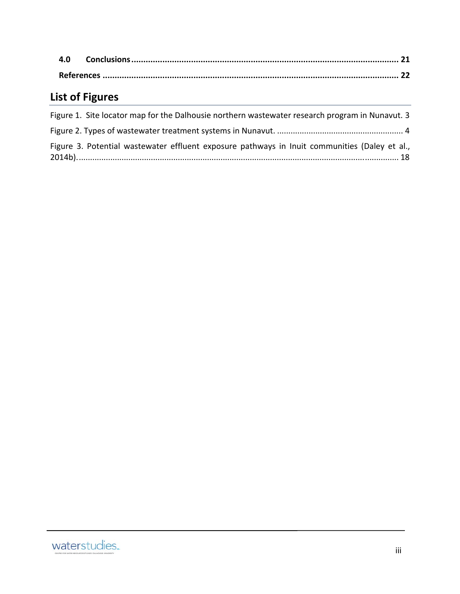# **List of Figures**

| Figure 1. Site locator map for the Dalhousie northern wastewater research program in Nunavut. 3 |  |
|-------------------------------------------------------------------------------------------------|--|
|                                                                                                 |  |
| Figure 3. Potential wastewater effluent exposure pathways in Inuit communities (Daley et al.,   |  |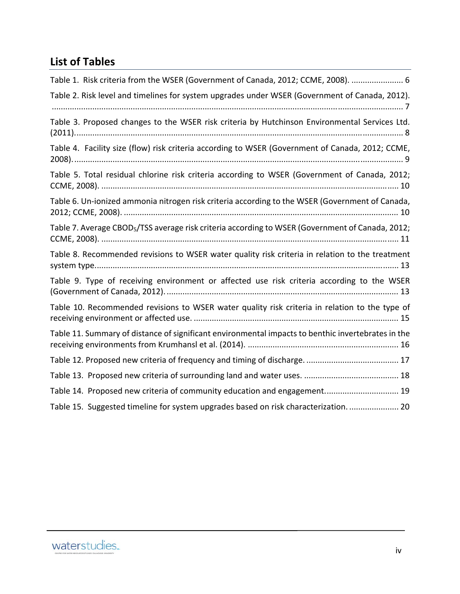# **List of Tables**

| Table 1. Risk criteria from the WSER (Government of Canada, 2012; CCME, 2008).  6                            |
|--------------------------------------------------------------------------------------------------------------|
| Table 2. Risk level and timelines for system upgrades under WSER (Government of Canada, 2012).               |
| Table 3. Proposed changes to the WSER risk criteria by Hutchinson Environmental Services Ltd.                |
| Table 4. Facility size (flow) risk criteria according to WSER (Government of Canada, 2012; CCME,             |
| Table 5. Total residual chlorine risk criteria according to WSER (Government of Canada, 2012;                |
| Table 6. Un-ionized ammonia nitrogen risk criteria according to the WSER (Government of Canada,              |
| Table 7. Average CBOD <sub>5</sub> /TSS average risk criteria according to WSER (Government of Canada, 2012; |
| Table 8. Recommended revisions to WSER water quality risk criteria in relation to the treatment              |
| Table 9. Type of receiving environment or affected use risk criteria according to the WSER                   |
| Table 10. Recommended revisions to WSER water quality risk criteria in relation to the type of               |
| Table 11. Summary of distance of significant environmental impacts to benthic invertebrates in the           |
|                                                                                                              |
|                                                                                                              |
| Table 14. Proposed new criteria of community education and engagement 19                                     |
| Table 15. Suggested timeline for system upgrades based on risk characterization 20                           |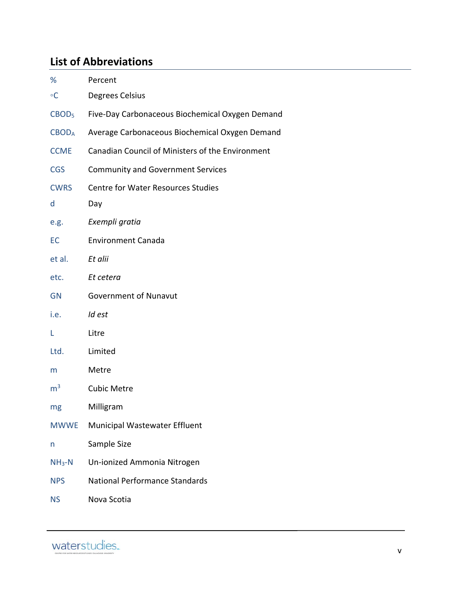# **List of Abbreviations**

| ℅                 | Percent                                          |
|-------------------|--------------------------------------------------|
| $\circ$ C         | Degrees Celsius                                  |
| CBOD <sub>5</sub> | Five-Day Carbonaceous Biochemical Oxygen Demand  |
| <b>CBODA</b>      | Average Carbonaceous Biochemical Oxygen Demand   |
| <b>CCME</b>       | Canadian Council of Ministers of the Environment |
| <b>CGS</b>        | <b>Community and Government Services</b>         |
| <b>CWRS</b>       | <b>Centre for Water Resources Studies</b>        |
| d                 | Day                                              |
| e.g.              | Exempli gratia                                   |
| EC                | <b>Environment Canada</b>                        |
| et al.            | Et alii                                          |
| etc.              | Et cetera                                        |
| <b>GN</b>         | <b>Government of Nunavut</b>                     |
| i.e.              | Id est                                           |
| L                 | Litre                                            |
| Ltd.              | Limited                                          |
| m                 | Metre                                            |
| m <sup>3</sup>    | <b>Cubic Metre</b>                               |
| mg                | Milligram                                        |
| <b>MWWE</b>       | Municipal Wastewater Effluent                    |
| n                 | Sample Size                                      |
| $NH3-N$           | Un-ionized Ammonia Nitrogen                      |
| <b>NPS</b>        | <b>National Performance Standards</b>            |
| <b>NS</b>         | Nova Scotia                                      |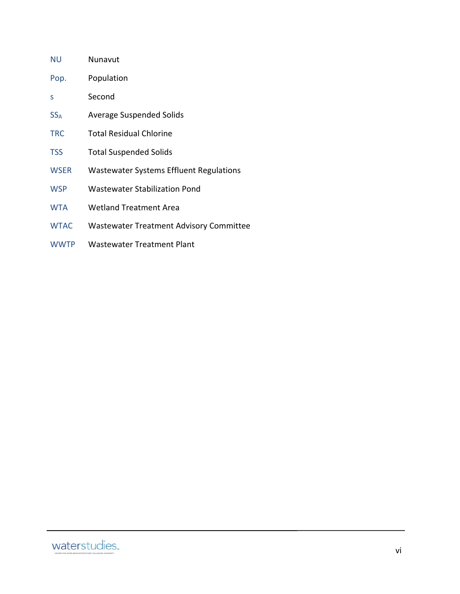| ΝU          | Nunavut                                 |
|-------------|-----------------------------------------|
| Pop.        | Population                              |
| S           | Second                                  |
| $SS_{A}$    | <b>Average Suspended Solids</b>         |
| <b>TRC</b>  | <b>Total Residual Chlorine</b>          |
| TSS         | <b>Total Suspended Solids</b>           |
| <b>WSER</b> | Wastewater Systems Effluent Regulations |
| <b>WSP</b>  | <b>Wastewater Stabilization Pond</b>    |
| <b>WTA</b>  | <b>Wetland Treatment Area</b>           |
| <b>WTAC</b> | Wastewater Treatment Advisory Committee |
| <b>WWTP</b> | Wastewater Treatment Plant              |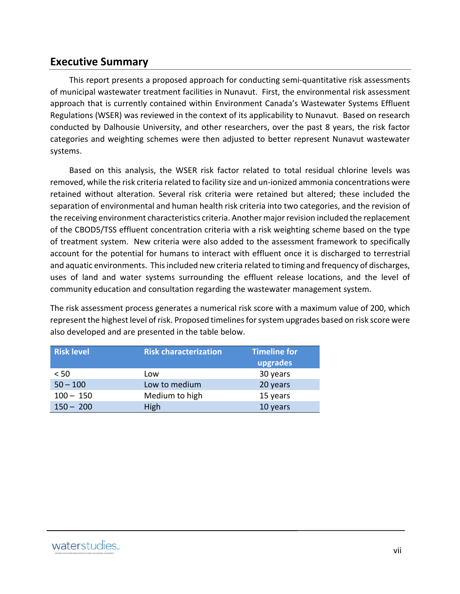### **Executive Summary**

This report presents a proposed approach for conducting semi‐quantitative risk assessments of municipal wastewater treatment facilities in Nunavut. First, the environmental risk assessment approach that is currently contained within Environment Canada's Wastewater Systems Effluent Regulations (WSER) was reviewed in the context of its applicability to Nunavut. Based on research conducted by Dalhousie University, and other researchers, over the past 8 years, the risk factor categories and weighting schemes were then adjusted to better represent Nunavut wastewater systems.

Based on this analysis, the WSER risk factor related to total residual chlorine levels was removed, while the risk criteria related to facility size and un‐ionized ammonia concentrations were retained without alteration. Several risk criteria were retained but altered; these included the separation of environmental and human health risk criteria into two categories, and the revision of the receiving environment characteristics criteria. Another majorrevision included the replacement of the CBOD5/TSS effluent concentration criteria with a risk weighting scheme based on the type of treatment system. New criteria were also added to the assessment framework to specifically account for the potential for humans to interact with effluent once it is discharged to terrestrial and aquatic environments. Thisincluded new criteria related to timing and frequency of discharges, uses of land and water systems surrounding the effluent release locations, and the level of community education and consultation regarding the wastewater management system.

The risk assessment process generates a numerical risk score with a maximum value of 200, which represent the highest level of risk. Proposed timelines for system upgrades based on risk score were also developed and are presented in the table below.

| <b>Risk level</b> | <b>Timeline for</b><br><b>Risk characterization</b> |          |
|-------------------|-----------------------------------------------------|----------|
|                   |                                                     | upgrades |
| < 50              | Low                                                 | 30 years |
| $50 - 100$        | Low to medium                                       | 20 years |
| $100 - 150$       | Medium to high                                      | 15 years |
| $150 - 200$       | High                                                | 10 years |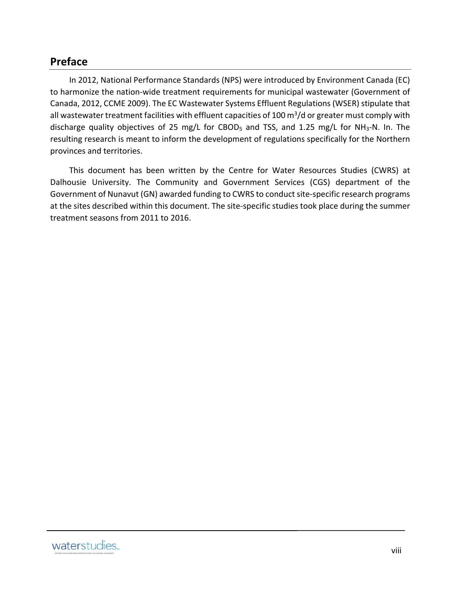# **Preface**

In 2012, National Performance Standards (NPS) were introduced by Environment Canada (EC) to harmonize the nation‐wide treatment requirements for municipal wastewater (Government of Canada, 2012, CCME 2009). The EC Wastewater Systems Effluent Regulations (WSER) stipulate that all wastewater treatment facilities with effluent capacities of 100  $\text{m}^3/\text{d}$  or greater must comply with discharge quality objectives of 25 mg/L for CBOD<sub>5</sub> and TSS, and 1.25 mg/L for NH<sub>3</sub>-N. In. The resulting research is meant to inform the development of regulations specifically for the Northern provinces and territories.

This document has been written by the Centre for Water Resources Studies (CWRS) at Dalhousie University. The Community and Government Services (CGS) department of the Government of Nunavut (GN) awarded funding to CWRS to conduct site-specific research programs at the sites described within this document. The site-specific studies took place during the summer treatment seasons from 2011 to 2016.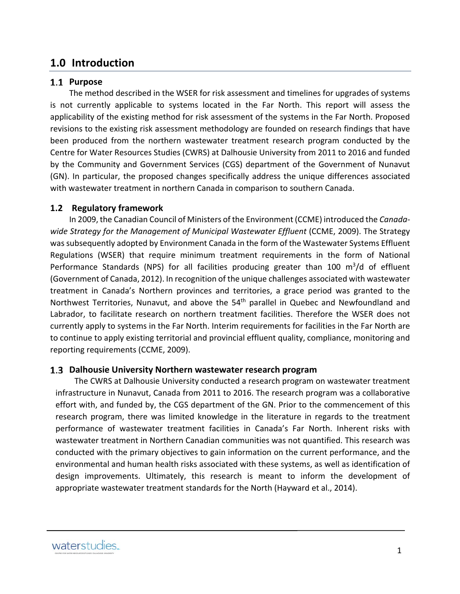# **1.0 Introduction**

#### 1.1 Purpose

The method described in the WSER for risk assessment and timelines for upgrades of systems is not currently applicable to systems located in the Far North. This report will assess the applicability of the existing method for risk assessment of the systems in the Far North. Proposed revisions to the existing risk assessment methodology are founded on research findings that have been produced from the northern wastewater treatment research program conducted by the Centre for Water Resources Studies (CWRS) at Dalhousie University from 2011 to 2016 and funded by the Community and Government Services (CGS) department of the Government of Nunavut (GN). In particular, the proposed changes specifically address the unique differences associated with wastewater treatment in northern Canada in comparison to southern Canada.

#### **1.2 Regulatory framework**

In 2009, the Canadian Council of Ministers of the Environment (CCME) introduced the *Canada‐ wide Strategy for the Management of Municipal Wastewater Effluent* (CCME, 2009). The Strategy was subsequently adopted by Environment Canada in the form of the Wastewater Systems Effluent Regulations (WSER) that require minimum treatment requirements in the form of National Performance Standards (NPS) for all facilities producing greater than 100  $\mathrm{m}^3/\mathrm{d}$  of effluent (Government of Canada, 2012). In recognition of the unique challenges associated with wastewater treatment in Canada's Northern provinces and territories, a grace period was granted to the Northwest Territories, Nunavut, and above the 54<sup>th</sup> parallel in Quebec and Newfoundland and Labrador, to facilitate research on northern treatment facilities. Therefore the WSER does not currently apply to systems in the Far North. Interim requirements for facilities in the Far North are to continue to apply existing territorial and provincial effluent quality, compliance, monitoring and reporting requirements (CCME, 2009).

#### **Dalhousie University Northern wastewater research program**

The CWRS at Dalhousie University conducted a research program on wastewater treatment infrastructure in Nunavut, Canada from 2011 to 2016. The research program was a collaborative effort with, and funded by, the CGS department of the GN. Prior to the commencement of this research program, there was limited knowledge in the literature in regards to the treatment performance of wastewater treatment facilities in Canada's Far North. Inherent risks with wastewater treatment in Northern Canadian communities was not quantified. This research was conducted with the primary objectives to gain information on the current performance, and the environmental and human health risks associated with these systems, as well as identification of design improvements. Ultimately, this research is meant to inform the development of appropriate wastewater treatment standards for the North (Hayward et al., 2014).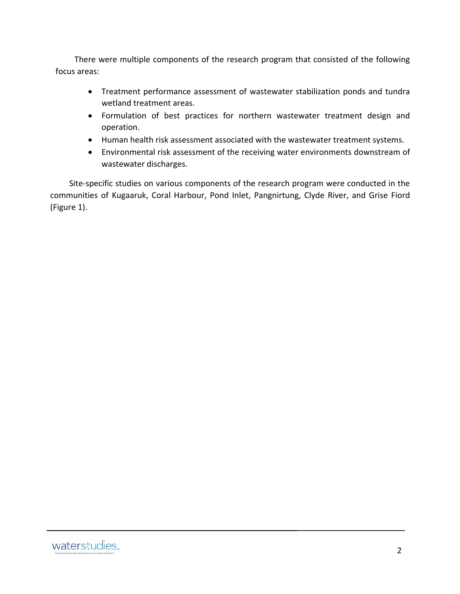There were multiple components of the research program that consisted of the following focus areas:

- Treatment performance assessment of wastewater stabilization ponds and tundra wetland treatment areas.
- Formulation of best practices for northern wastewater treatment design and operation.
- Human health risk assessment associated with the wastewater treatment systems.
- Environmental risk assessment of the receiving water environments downstream of wastewater discharges.

Site-specific studies on various components of the research program were conducted in the communities of Kugaaruk, Coral Harbour, Pond Inlet, Pangnirtung, Clyde River, and Grise Fiord (Figure 1).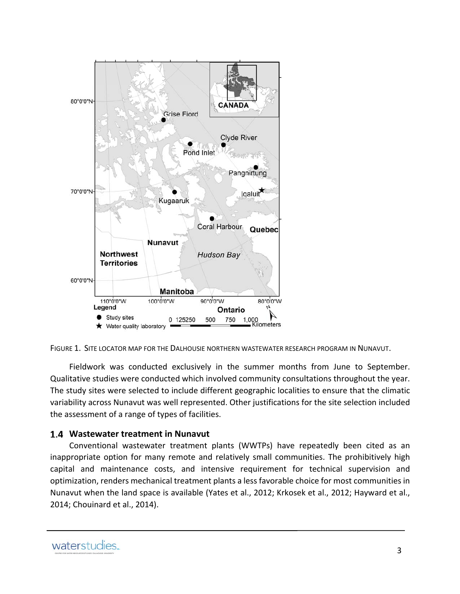

FIGURE 1. SITE LOCATOR MAP FOR THE DALHOUSIE NORTHERN WASTEWATER RESEARCH PROGRAM IN NUNAVUT.

Fieldwork was conducted exclusively in the summer months from June to September. Qualitative studies were conducted which involved community consultations throughout the year. The study sites were selected to include different geographic localities to ensure that the climatic variability across Nunavut was well represented. Other justifications for the site selection included the assessment of a range of types of facilities.

#### **Wastewater treatment in Nunavut**

Conventional wastewater treatment plants (WWTPs) have repeatedly been cited as an inappropriate option for many remote and relatively small communities. The prohibitively high capital and maintenance costs, and intensive requirement for technical supervision and optimization, renders mechanical treatment plants a less favorable choice for most communities in Nunavut when the land space is available (Yates et al., 2012; Krkosek et al., 2012; Hayward et al., 2014; Chouinard et al., 2014).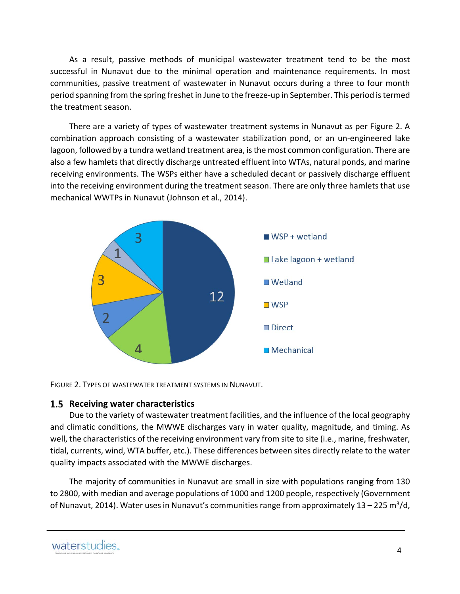As a result, passive methods of municipal wastewater treatment tend to be the most successful in Nunavut due to the minimal operation and maintenance requirements. In most communities, passive treatment of wastewater in Nunavut occurs during a three to four month period spanning from the spring freshet in June to the freeze‐up in September. This period istermed the treatment season.

There are a variety of types of wastewater treatment systems in Nunavut as per Figure 2. A combination approach consisting of a wastewater stabilization pond, or an un‐engineered lake lagoon, followed by a tundra wetland treatment area, isthe most common configuration. There are also a few hamlets that directly discharge untreated effluent into WTAs, natural ponds, and marine receiving environments. The WSPs either have a scheduled decant or passively discharge effluent into the receiving environment during the treatment season. There are only three hamlets that use mechanical WWTPs in Nunavut (Johnson et al., 2014).



FIGURE 2. TYPES OF WASTEWATER TREATMENT SYSTEMS IN NUNAVUT.

#### **Receiving water characteristics**

Due to the variety of wastewater treatment facilities, and the influence of the local geography and climatic conditions, the MWWE discharges vary in water quality, magnitude, and timing. As well, the characteristics of the receiving environment vary from site to site (i.e., marine, freshwater, tidal, currents, wind, WTA buffer, etc.). These differences between sites directly relate to the water quality impacts associated with the MWWE discharges.

The majority of communities in Nunavut are small in size with populations ranging from 130 to 2800, with median and average populations of 1000 and 1200 people, respectively (Government of Nunavut, 2014). Water uses in Nunavut's communities range from approximately  $13 - 225$  m<sup>3</sup>/d,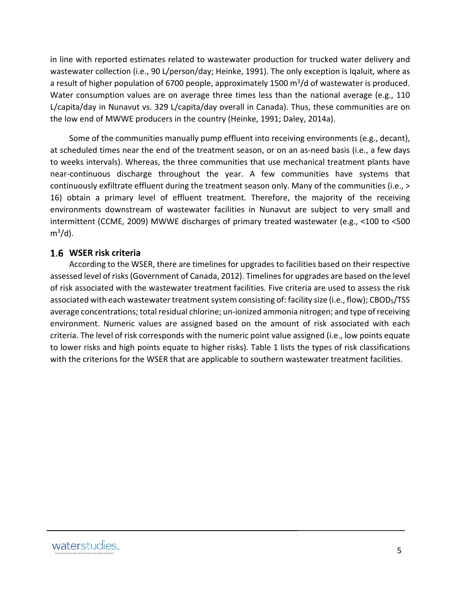in line with reported estimates related to wastewater production for trucked water delivery and wastewater collection (i.e., 90 L/person/day; Heinke, 1991). The only exception is Iqaluit, where as a result of higher population of 6700 people, approximately 1500  $\text{m}^3/\text{d}$  of wastewater is produced. Water consumption values are on average three times less than the national average (e.g., 110 L/capita/day in Nunavut vs. 329 L/capita/day overall in Canada). Thus, these communities are on the low end of MWWE producers in the country (Heinke, 1991; Daley, 2014a).

Some of the communities manually pump effluent into receiving environments (e.g., decant), at scheduled times near the end of the treatment season, or on an as-need basis (i.e., a few days to weeks intervals). Whereas, the three communities that use mechanical treatment plants have near‐continuous discharge throughout the year. A few communities have systems that continuously exfiltrate effluent during the treatment season only. Many of the communities (i.e., > 16) obtain a primary level of effluent treatment. Therefore, the majority of the receiving environments downstream of wastewater facilities in Nunavut are subject to very small and intermittent (CCME, 2009) MWWE discharges of primary treated wastewater (e.g., <100 to <500  $m^3/d$ ).

#### **WSER risk criteria**

According to the WSER, there are timelines for upgrades to facilities based on their respective assessed level of risks (Government of Canada, 2012). Timelines for upgrades are based on the level of risk associated with the wastewater treatment facilities. Five criteria are used to assess the risk associated with each wastewater treatment system consisting of: facility size (i.e., flow); CBOD<sub>5</sub>/TSS average concentrations; total residual chlorine; un‐ionized ammonia nitrogen; and type of receiving environment. Numeric values are assigned based on the amount of risk associated with each criteria. The level of risk corresponds with the numeric point value assigned (i.e., low points equate to lower risks and high points equate to higher risks). Table 1 lists the types of risk classifications with the criterions for the WSER that are applicable to southern wastewater treatment facilities.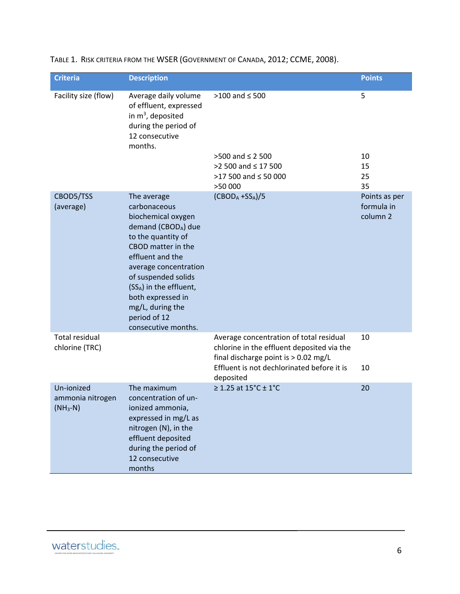| <b>Criteria</b>                              | <b>Description</b>                                                                                                                                                                                                                                                                                |                                                                                                                                 | <b>Points</b>                                      |
|----------------------------------------------|---------------------------------------------------------------------------------------------------------------------------------------------------------------------------------------------------------------------------------------------------------------------------------------------------|---------------------------------------------------------------------------------------------------------------------------------|----------------------------------------------------|
| Facility size (flow)                         | Average daily volume<br>of effluent, expressed<br>in $m^3$ , deposited<br>during the period of<br>12 consecutive<br>months.                                                                                                                                                                       | $>100$ and $\leq 500$                                                                                                           | 5                                                  |
|                                              |                                                                                                                                                                                                                                                                                                   | >500 and ≤ 2 500                                                                                                                | 10                                                 |
|                                              |                                                                                                                                                                                                                                                                                                   | >2 500 and ≤ 17 500                                                                                                             | 15                                                 |
|                                              |                                                                                                                                                                                                                                                                                                   | $>17$ 500 and $\leq$ 50 000<br>>50 000                                                                                          | 25<br>35                                           |
| CBOD5/TSS<br>(average)                       | The average<br>carbonaceous<br>biochemical oxygen<br>demand (CBODA) due<br>to the quantity of<br>CBOD matter in the<br>effluent and the<br>average concentration<br>of suspended solids<br>(SSA) in the effluent,<br>both expressed in<br>mg/L, during the<br>period of 12<br>consecutive months. | $(CBODA + SSA)/5$                                                                                                               | Points as per<br>formula in<br>column <sub>2</sub> |
| <b>Total residual</b><br>chlorine (TRC)      |                                                                                                                                                                                                                                                                                                   | Average concentration of total residual<br>chlorine in the effluent deposited via the<br>final discharge point is $> 0.02$ mg/L | 10                                                 |
|                                              |                                                                                                                                                                                                                                                                                                   | Effluent is not dechlorinated before it is<br>deposited                                                                         | 10                                                 |
| Un-ionized<br>ammonia nitrogen<br>$(NH_3-N)$ | The maximum<br>concentration of un-<br>ionized ammonia,<br>expressed in mg/L as<br>nitrogen (N), in the<br>effluent deposited<br>during the period of<br>12 consecutive<br>months                                                                                                                 | ≥ 1.25 at $15^{\circ}$ C ± 1°C                                                                                                  | 20                                                 |

TABLE 1. RISK CRITERIA FROM THE WSER (GOVERNMENT OF CANADA, 2012; CCME, 2008).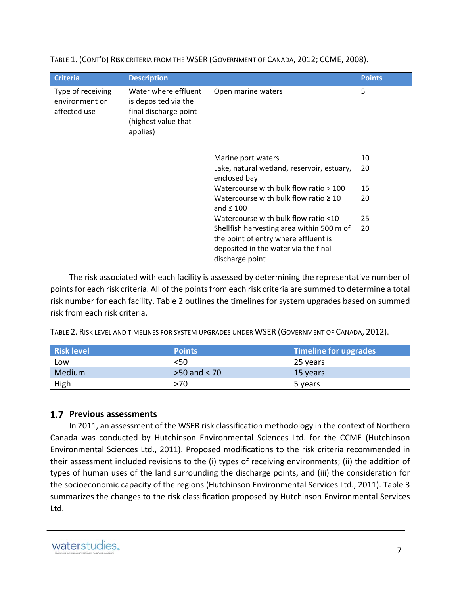| <b>Criteria</b>                                     | <b>Description</b>                                                                                       |                                                                                                                                              | <b>Points</b> |
|-----------------------------------------------------|----------------------------------------------------------------------------------------------------------|----------------------------------------------------------------------------------------------------------------------------------------------|---------------|
| Type of receiving<br>environment or<br>affected use | Water where effluent<br>is deposited via the<br>final discharge point<br>(highest value that<br>applies) | Open marine waters                                                                                                                           | 5             |
|                                                     |                                                                                                          | Marine port waters                                                                                                                           | 10            |
|                                                     |                                                                                                          | Lake, natural wetland, reservoir, estuary,<br>enclosed bay                                                                                   | 20            |
|                                                     |                                                                                                          | Watercourse with bulk flow ratio $>100$                                                                                                      | 15            |
|                                                     |                                                                                                          | Watercourse with bulk flow ratio $\geq 10$<br>and $\leq 100$                                                                                 | 20            |
|                                                     |                                                                                                          | Watercourse with bulk flow ratio <10                                                                                                         | 25            |
|                                                     |                                                                                                          | Shellfish harvesting area within 500 m of<br>the point of entry where effluent is<br>deposited in the water via the final<br>discharge point | 20            |

TABLE 1. (CONT'D) RISK CRITERIA FROM THE WSER (GOVERNMENT OF CANADA, 2012; CCME, 2008).

The risk associated with each facility is assessed by determining the representative number of points for each risk criteria. All of the points from each risk criteria are summed to determine a total risk number for each facility. Table 2 outlines the timelines for system upgrades based on summed risk from each risk criteria.

TABLE 2. RISK LEVEL AND TIMELINES FOR SYSTEM UPGRADES UNDER WSER (GOVERNMENT OF CANADA, 2012).

| <b>Risk level</b> | <b>Points</b>    | Timeline for upgrades |
|-------------------|------------------|-----------------------|
| Low               | <50              | 25 years              |
| Medium            | $>50$ and $< 70$ | 15 years              |
| High              | >70              | 5 years               |

### **Previous assessments**

In 2011, an assessment of the WSER risk classification methodology in the context of Northern Canada was conducted by Hutchinson Environmental Sciences Ltd. for the CCME (Hutchinson Environmental Sciences Ltd., 2011). Proposed modifications to the risk criteria recommended in their assessment included revisions to the (i) types of receiving environments; (ii) the addition of types of human uses of the land surrounding the discharge points, and (iii) the consideration for the socioeconomic capacity of the regions (Hutchinson Environmental Services Ltd., 2011). Table 3 summarizes the changes to the risk classification proposed by Hutchinson Environmental Services Ltd.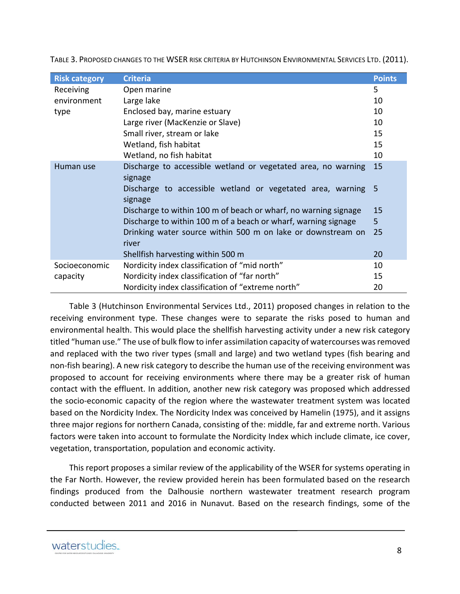| <b>Risk category</b> | <b>Criteria</b>                                                          | <b>Points</b> |
|----------------------|--------------------------------------------------------------------------|---------------|
| Receiving            | Open marine                                                              | 5             |
| environment          | Large lake                                                               | 10            |
| type                 | Enclosed bay, marine estuary                                             | 10            |
|                      | Large river (MacKenzie or Slave)                                         | 10            |
|                      | Small river, stream or lake                                              | 15            |
|                      | Wetland, fish habitat                                                    | 15            |
|                      | Wetland, no fish habitat                                                 | 10            |
| Human use            | Discharge to accessible wetland or vegetated area, no warning<br>signage | 15            |
|                      | Discharge to accessible wetland or vegetated area, warning 5<br>signage  |               |
|                      | Discharge to within 100 m of beach or wharf, no warning signage          | 15            |
|                      | Discharge to within 100 m of a beach or wharf, warning signage           | 5             |
|                      | Drinking water source within 500 m on lake or downstream on<br>river     | 25            |
|                      | Shellfish harvesting within 500 m                                        | 20            |
| Socioeconomic        | Nordicity index classification of "mid north"                            | 10            |
| capacity             | Nordicity index classification of "far north"                            | 15            |
|                      | Nordicity index classification of "extreme north"                        | 20            |

TABLE 3. PROPOSED CHANGES TO THE WSER RISK CRITERIA BY HUTCHINSON ENVIRONMENTAL SERVICES LTD. (2011).

Table 3 (Hutchinson Environmental Services Ltd., 2011) proposed changes in relation to the receiving environment type. These changes were to separate the risks posed to human and environmental health. This would place the shellfish harvesting activity under a new risk category titled "human use." The use of bulk flow to infer assimilation capacity of watercourses was removed and replaced with the two river types (small and large) and two wetland types (fish bearing and non‐fish bearing). A new risk category to describe the human use of the receiving environment was proposed to account for receiving environments where there may be a greater risk of human contact with the effluent. In addition, another new risk category was proposed which addressed the socio‐economic capacity of the region where the wastewater treatment system was located based on the Nordicity Index. The Nordicity Index was conceived by Hamelin (1975), and it assigns three major regions for northern Canada, consisting of the: middle, far and extreme north. Various factors were taken into account to formulate the Nordicity Index which include climate, ice cover, vegetation, transportation, population and economic activity.

This report proposes a similar review of the applicability of the WSER for systems operating in the Far North. However, the review provided herein has been formulated based on the research findings produced from the Dalhousie northern wastewater treatment research program conducted between 2011 and 2016 in Nunavut. Based on the research findings, some of the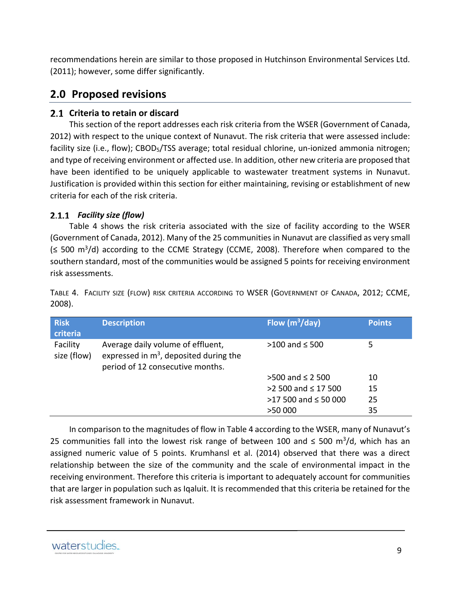recommendations herein are similar to those proposed in Hutchinson Environmental Services Ltd. (2011); however, some differ significantly.

# **2.0 Proposed revisions**

#### **Criteria to retain or discard**

This section of the report addresses each risk criteria from the WSER (Government of Canada, 2012) with respect to the unique context of Nunavut. The risk criteria that were assessed include: facility size (i.e., flow); CBOD<sub>5</sub>/TSS average; total residual chlorine, un-ionized ammonia nitrogen; and type of receiving environment or affected use. In addition, other new criteria are proposed that have been identified to be uniquely applicable to wastewater treatment systems in Nunavut. Justification is provided within this section for either maintaining, revising or establishment of new criteria for each of the risk criteria.

#### *Facility size (flow)*

Table 4 shows the risk criteria associated with the size of facility according to the WSER (Government of Canada, 2012). Many of the 25 communities in Nunavut are classified as very small  $(\leq 500 \text{ m}^3/\text{d})$  according to the CCME Strategy (CCME, 2008). Therefore when compared to the southern standard, most of the communities would be assigned 5 points for receiving environment risk assessments.

TABLE 4. FACILITY SIZE (FLOW) RISK CRITERIA ACCORDING TO WSER (GOVERNMENT OF CANADA, 2012; CCME, 2008).

| <b>Risk</b><br>criteria | <b>Description</b>                                                                                                 | Flow $(m^3/day)$            | <b>Points</b> |
|-------------------------|--------------------------------------------------------------------------------------------------------------------|-----------------------------|---------------|
| Facility<br>size (flow) | Average daily volume of effluent,<br>expressed in $m^3$ , deposited during the<br>period of 12 consecutive months. | $>100$ and $\leq 500$       | 5             |
|                         |                                                                                                                    | $>500$ and $\leq 2$ 500     | 10            |
|                         |                                                                                                                    | $>2$ 500 and $\leq$ 17 500  | 15            |
|                         |                                                                                                                    | $>17$ 500 and $\leq$ 50 000 | 25            |
|                         |                                                                                                                    | >50 000                     | 35            |

In comparison to the magnitudes of flow in Table 4 according to the WSER, many of Nunavut's 25 communities fall into the lowest risk range of between 100 and  $\leq$  500 m<sup>3</sup>/d, which has an assigned numeric value of 5 points. Krumhansl et al. (2014) observed that there was a direct relationship between the size of the community and the scale of environmental impact in the receiving environment. Therefore this criteria is important to adequately account for communities that are larger in population such as Iqaluit. It is recommended that this criteria be retained for the risk assessment framework in Nunavut.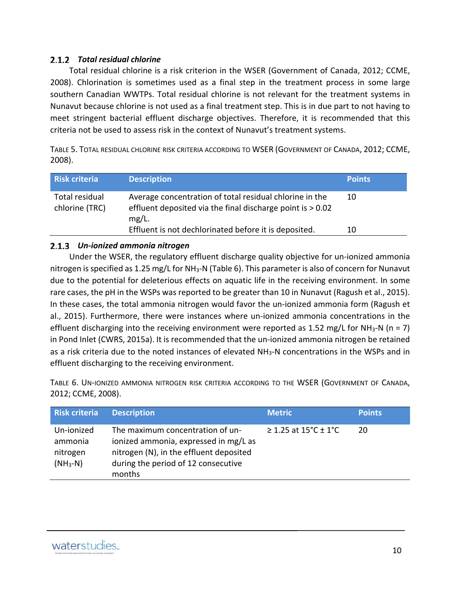#### *Total residual chlorine*

Total residual chlorine is a risk criterion in the WSER (Government of Canada, 2012; CCME, 2008). Chlorination is sometimes used as a final step in the treatment process in some large southern Canadian WWTPs. Total residual chlorine is not relevant for the treatment systems in Nunavut because chlorine is not used as a final treatment step. This is in due part to not having to meet stringent bacterial effluent discharge objectives. Therefore, it is recommended that this criteria not be used to assess risk in the context of Nunavut's treatment systems.

TABLE 5. TOTAL RESIDUAL CHLORINE RISK CRITERIA ACCORDING TO WSER (GOVERNMENT OF CANADA, 2012; CCME, 2008).

| <b>Risk criteria</b>             | <b>Description</b>                                                                                                                | <b>Points</b> |
|----------------------------------|-----------------------------------------------------------------------------------------------------------------------------------|---------------|
| Total residual<br>chlorine (TRC) | Average concentration of total residual chlorine in the<br>effluent deposited via the final discharge point is > 0.02<br>$mg/L$ . | 10            |
|                                  | Effluent is not dechlorinated before it is deposited.                                                                             | 10            |

#### *Un‐ionized ammonia nitrogen*

Under the WSER, the regulatory effluent discharge quality objective for un‐ionized ammonia nitrogen is specified as 1.25 mg/L for NH<sub>3</sub>-N (Table 6). This parameter is also of concern for Nunavut due to the potential for deleterious effects on aquatic life in the receiving environment. In some rare cases, the pH in the WSPs was reported to be greater than 10 in Nunavut (Ragush et al., 2015). In these cases, the total ammonia nitrogen would favor the un‐ionized ammonia form (Ragush et al., 2015). Furthermore, there were instances where un‐ionized ammonia concentrations in the effluent discharging into the receiving environment were reported as 1.52 mg/L for NH<sub>3</sub>-N (n = 7) in Pond Inlet (CWRS, 2015a). It is recommended that the un‐ionized ammonia nitrogen be retained as a risk criteria due to the noted instances of elevated NH<sub>3</sub>-N concentrations in the WSPs and in effluent discharging to the receiving environment.

TABLE 6. UN‐IONIZED AMMONIA NITROGEN RISK CRITERIA ACCORDING TO THE WSER (GOVERNMENT OF CANADA, 2012; CCME, 2008).

| <b>Risk criteria</b>                            | <b>Description</b>                                                                                                                                                    | <b>Metric</b>             | <b>Points</b> |
|-------------------------------------------------|-----------------------------------------------------------------------------------------------------------------------------------------------------------------------|---------------------------|---------------|
| Un-ionized<br>ammonia<br>nitrogen<br>$(NH_3-N)$ | The maximum concentration of un-<br>ionized ammonia, expressed in mg/L as<br>nitrogen (N), in the effluent deposited<br>during the period of 12 consecutive<br>months | $\geq$ 1.25 at 15°C ± 1°C | 20            |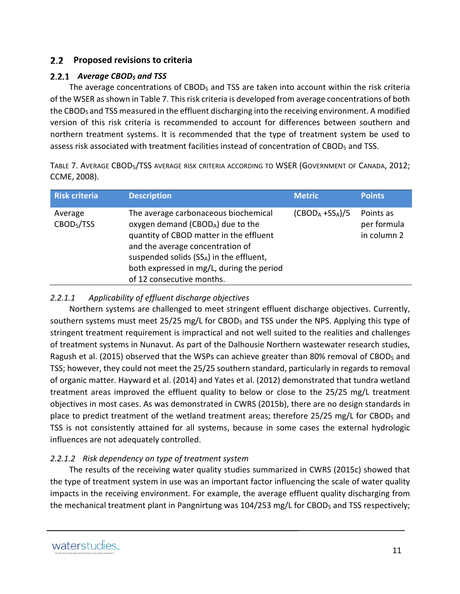#### **Proposed revisions to criteria**

#### *Average CBOD5 and TSS*

The average concentrations of  $CBOD<sub>5</sub>$  and TSS are taken into account within the risk criteria of the WSER as shown in Table 7. This risk criteria is developed from average concentrations of both the CBOD<sub>5</sub> and TSS measured in the effluent discharging into the receiving environment. A modified version of this risk criteria is recommended to account for differences between southern and northern treatment systems. It is recommended that the type of treatment system be used to assess risk associated with treatment facilities instead of concentration of CBOD<sub>5</sub> and TSS.

TABLE 7. AVERAGE CBOD5/TSS AVERAGE RISK CRITERIA ACCORDING TO WSER (GOVERNMENT OF CANADA, 2012; CCME, 2008).

| <b>Risk criteria</b>              | <b>Description</b>                                                                                                                                                                                                                                                                        | <b>Metric</b>    | <b>Points</b>                           |
|-----------------------------------|-------------------------------------------------------------------------------------------------------------------------------------------------------------------------------------------------------------------------------------------------------------------------------------------|------------------|-----------------------------------------|
| Average<br>CBOD <sub>5</sub> /TSS | The average carbonaceous biochemical<br>oxygen demand (CBOD <sub>A</sub> ) due to the<br>quantity of CBOD matter in the effluent<br>and the average concentration of<br>suspended solids (SSA) in the effluent,<br>both expressed in mg/L, during the period<br>of 12 consecutive months. | $(CBODA +SSA)/5$ | Points as<br>per formula<br>in column 2 |

#### *2.2.1.1 Applicability of effluent discharge objectives*

Northern systems are challenged to meet stringent effluent discharge objectives. Currently, southern systems must meet 25/25 mg/L for CBOD<sub>5</sub> and TSS under the NPS. Applying this type of stringent treatment requirement is impractical and not well suited to the realities and challenges of treatment systems in Nunavut. As part of the Dalhousie Northern wastewater research studies, Ragush et al. (2015) observed that the WSPs can achieve greater than 80% removal of CBOD<sub>5</sub> and TSS; however, they could not meet the 25/25 southern standard, particularly in regards to removal of organic matter. Hayward et al. (2014) and Yates et al. (2012) demonstrated that tundra wetland treatment areas improved the effluent quality to below or close to the 25/25 mg/L treatment objectives in most cases. As was demonstrated in CWRS (2015b), there are no design standards in place to predict treatment of the wetland treatment areas; therefore  $25/25$  mg/L for CBOD<sub>5</sub> and TSS is not consistently attained for all systems, because in some cases the external hydrologic influences are not adequately controlled.

#### *2.2.1.2 Risk dependency on type of treatment system*

The results of the receiving water quality studies summarized in CWRS (2015c) showed that the type of treatment system in use was an important factor influencing the scale of water quality impacts in the receiving environment. For example, the average effluent quality discharging from the mechanical treatment plant in Pangnirtung was  $104/253$  mg/L for CBOD<sub>5</sub> and TSS respectively;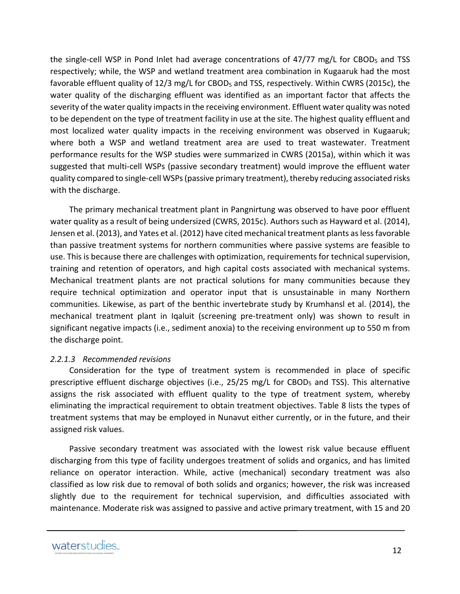the single-cell WSP in Pond Inlet had average concentrations of  $47/77$  mg/L for CBOD<sub>5</sub> and TSS respectively; while, the WSP and wetland treatment area combination in Kugaaruk had the most favorable effluent quality of 12/3 mg/L for CBOD<sub>5</sub> and TSS, respectively. Within CWRS (2015c), the water quality of the discharging effluent was identified as an important factor that affects the severity of the water quality impacts in the receiving environment. Effluent water quality was noted to be dependent on the type of treatment facility in use at the site. The highest quality effluent and most localized water quality impacts in the receiving environment was observed in Kugaaruk; where both a WSP and wetland treatment area are used to treat wastewater. Treatment performance results for the WSP studies were summarized in CWRS (2015a), within which it was suggested that multi‐cell WSPs (passive secondary treatment) would improve the effluent water quality compared to single‐cell WSPs(passive primary treatment), thereby reducing associated risks with the discharge.

The primary mechanical treatment plant in Pangnirtung was observed to have poor effluent water quality as a result of being undersized (CWRS, 2015c). Authors such as Hayward et al. (2014), Jensen et al. (2013), and Yates et al. (2012) have cited mechanical treatment plants aslessfavorable than passive treatment systems for northern communities where passive systems are feasible to use. This is because there are challenges with optimization, requirements for technical supervision, training and retention of operators, and high capital costs associated with mechanical systems. Mechanical treatment plants are not practical solutions for many communities because they require technical optimization and operator input that is unsustainable in many Northern communities. Likewise, as part of the benthic invertebrate study by Krumhansl et al. (2014), the mechanical treatment plant in Iqaluit (screening pre‐treatment only) was shown to result in significant negative impacts (i.e., sediment anoxia) to the receiving environment up to 550 m from the discharge point.

#### *2.2.1.3 Recommended revisions*

Consideration for the type of treatment system is recommended in place of specific prescriptive effluent discharge objectives (i.e., 25/25 mg/L for CBOD5 and TSS). This alternative assigns the risk associated with effluent quality to the type of treatment system, whereby eliminating the impractical requirement to obtain treatment objectives. Table 8 lists the types of treatment systems that may be employed in Nunavut either currently, or in the future, and their assigned risk values.

Passive secondary treatment was associated with the lowest risk value because effluent discharging from this type of facility undergoes treatment of solids and organics, and has limited reliance on operator interaction. While, active (mechanical) secondary treatment was also classified as low risk due to removal of both solids and organics; however, the risk was increased slightly due to the requirement for technical supervision, and difficulties associated with maintenance. Moderate risk was assigned to passive and active primary treatment, with 15 and 20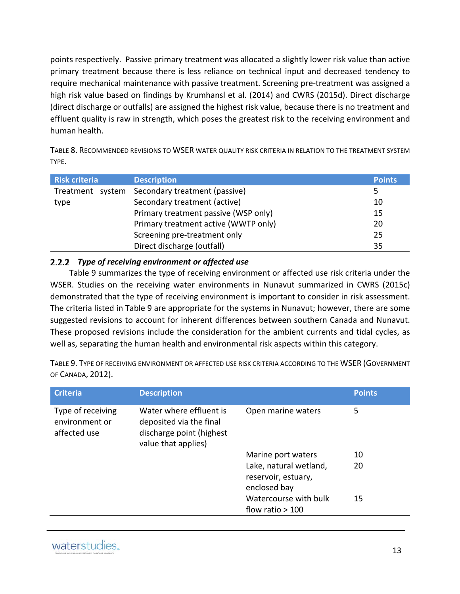points respectively. Passive primary treatment was allocated a slightly lower risk value than active primary treatment because there is less reliance on technical input and decreased tendency to require mechanical maintenance with passive treatment. Screening pre‐treatment was assigned a high risk value based on findings by Krumhansl et al. (2014) and CWRS (2015d). Direct discharge (direct discharge or outfalls) are assigned the highest risk value, because there is no treatment and effluent quality is raw in strength, which poses the greatest risk to the receiving environment and human health.

TABLE 8. RECOMMENDED REVISIONS TO WSER WATER QUALITY RISK CRITERIA IN RELATION TO THE TREATMENT SYSTEM TYPE.

| Risk criteria    | <b>Description</b>                   | <b>Points</b> |
|------------------|--------------------------------------|---------------|
| Treatment system | Secondary treatment (passive)        | 5             |
| type             | Secondary treatment (active)         | 10            |
|                  | Primary treatment passive (WSP only) | 15            |
|                  | Primary treatment active (WWTP only) | 20            |
|                  | Screening pre-treatment only         | 25            |
|                  | Direct discharge (outfall)           | 35            |

#### *Type of receiving environment or affected use*

Table 9 summarizes the type of receiving environment or affected use risk criteria under the WSER. Studies on the receiving water environments in Nunavut summarized in CWRS (2015c) demonstrated that the type of receiving environment is important to consider in risk assessment. The criteria listed in Table 9 are appropriate for the systems in Nunavut; however, there are some suggested revisions to account for inherent differences between southern Canada and Nunavut. These proposed revisions include the consideration for the ambient currents and tidal cycles, as well as, separating the human health and environmental risk aspects within this category.

TABLE 9. TYPE OF RECEIVING ENVIRONMENT OR AFFECTED USE RISK CRITERIA ACCORDING TO THE WSER (GOVERNMENT OF CANADA, 2012).

| <b>Criteria</b>                                     | <b>Description</b>                                                                                    |                                                               | <b>Points</b> |
|-----------------------------------------------------|-------------------------------------------------------------------------------------------------------|---------------------------------------------------------------|---------------|
| Type of receiving<br>environment or<br>affected use | Water where effluent is<br>deposited via the final<br>discharge point (highest<br>value that applies) | Open marine waters                                            | 5             |
|                                                     |                                                                                                       | Marine port waters                                            | 10            |
|                                                     |                                                                                                       | Lake, natural wetland,<br>reservoir, estuary,<br>enclosed bay | 20            |
|                                                     |                                                                                                       | Watercourse with bulk<br>flow ratio $>100$                    | 15            |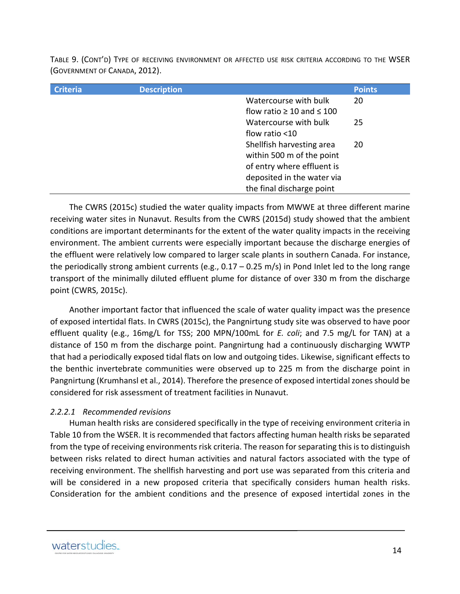TABLE 9. (CONT'D) TYPE OF RECEIVING ENVIRONMENT OR AFFECTED USE RISK CRITERIA ACCORDING TO THE WSER (GOVERNMENT OF CANADA, 2012).

| <b>Criteria</b> | <b>Description</b> |                                     | <b>Points</b> |
|-----------------|--------------------|-------------------------------------|---------------|
|                 |                    | Watercourse with bulk               | 20            |
|                 |                    | flow ratio $\geq 10$ and $\leq 100$ |               |
|                 |                    | Watercourse with bulk               | 25            |
|                 |                    | flow ratio <10                      |               |
|                 |                    | Shellfish harvesting area           | 20            |
|                 |                    | within 500 m of the point           |               |
|                 |                    | of entry where effluent is          |               |
|                 |                    | deposited in the water via          |               |
|                 |                    | the final discharge point           |               |

The CWRS (2015c) studied the water quality impacts from MWWE at three different marine receiving water sites in Nunavut. Results from the CWRS (2015d) study showed that the ambient conditions are important determinants for the extent of the water quality impacts in the receiving environment. The ambient currents were especially important because the discharge energies of the effluent were relatively low compared to larger scale plants in southern Canada. For instance, the periodically strong ambient currents (e.g.,  $0.17 - 0.25$  m/s) in Pond Inlet led to the long range transport of the minimally diluted effluent plume for distance of over 330 m from the discharge point (CWRS, 2015c).

Another important factor that influenced the scale of water quality impact was the presence of exposed intertidal flats. In CWRS (2015c), the Pangnirtung study site was observed to have poor effluent quality (e.g., 16mg/L for TSS; 200 MPN/100mL for *E. coli*; and 7.5 mg/L for TAN) at a distance of 150 m from the discharge point. Pangnirtung had a continuously discharging WWTP that had a periodically exposed tidal flats on low and outgoing tides. Likewise, significant effects to the benthic invertebrate communities were observed up to 225 m from the discharge point in Pangnirtung (Krumhansl et al., 2014). Therefore the presence of exposed intertidal zones should be considered for risk assessment of treatment facilities in Nunavut.

#### *2.2.2.1 Recommended revisions*

Human health risks are considered specifically in the type of receiving environment criteria in Table 10 from the WSER. It is recommended that factors affecting human health risks be separated from the type of receiving environments risk criteria. The reason for separating this is to distinguish between risks related to direct human activities and natural factors associated with the type of receiving environment. The shellfish harvesting and port use was separated from this criteria and will be considered in a new proposed criteria that specifically considers human health risks. Consideration for the ambient conditions and the presence of exposed intertidal zones in the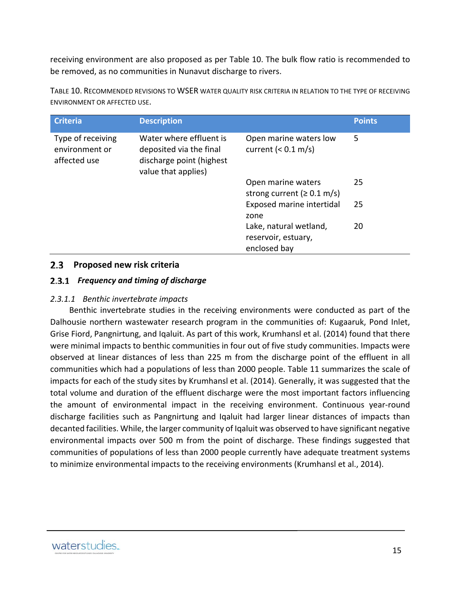receiving environment are also proposed as per Table 10. The bulk flow ratio is recommended to be removed, as no communities in Nunavut discharge to rivers.

| <b>Criteria</b>                                     | <b>Description</b>                                                                                    |                                                               | <b>Points</b> |
|-----------------------------------------------------|-------------------------------------------------------------------------------------------------------|---------------------------------------------------------------|---------------|
| Type of receiving<br>environment or<br>affected use | Water where effluent is<br>deposited via the final<br>discharge point (highest<br>value that applies) | Open marine waters low<br>current $(0.1 \text{ m/s})$         | 5             |
|                                                     |                                                                                                       | Open marine waters<br>strong current ( $\geq 0.1$ m/s)        | 25            |
|                                                     |                                                                                                       | Exposed marine intertidal<br>zone                             | 25            |
|                                                     |                                                                                                       | Lake, natural wetland,<br>reservoir, estuary,<br>enclosed bay | 20            |

TABLE 10. RECOMMENDED REVISIONS TO WSER WATER QUALITY RISK CRITERIA IN RELATION TO THE TYPE OF RECEIVING ENVIRONMENT OR AFFECTED USE.

#### **Proposed new risk criteria**

#### *Frequency and timing of discharge*

#### *2.3.1.1 Benthic invertebrate impacts*

Benthic invertebrate studies in the receiving environments were conducted as part of the Dalhousie northern wastewater research program in the communities of: Kugaaruk, Pond Inlet, Grise Fiord, Pangnirtung, and Iqaluit. As part of this work, Krumhansl et al. (2014) found that there were minimal impacts to benthic communities in four out of five study communities. Impacts were observed at linear distances of less than 225 m from the discharge point of the effluent in all communities which had a populations of less than 2000 people. Table 11 summarizes the scale of impacts for each of the study sites by Krumhansl et al. (2014). Generally, it was suggested that the total volume and duration of the effluent discharge were the most important factors influencing the amount of environmental impact in the receiving environment. Continuous year‐round discharge facilities such as Pangnirtung and Iqaluit had larger linear distances of impacts than decanted facilities. While, the larger community of Iqaluit was observed to have significant negative environmental impacts over 500 m from the point of discharge. These findings suggested that communities of populations of less than 2000 people currently have adequate treatment systems to minimize environmental impacts to the receiving environments (Krumhansl et al., 2014).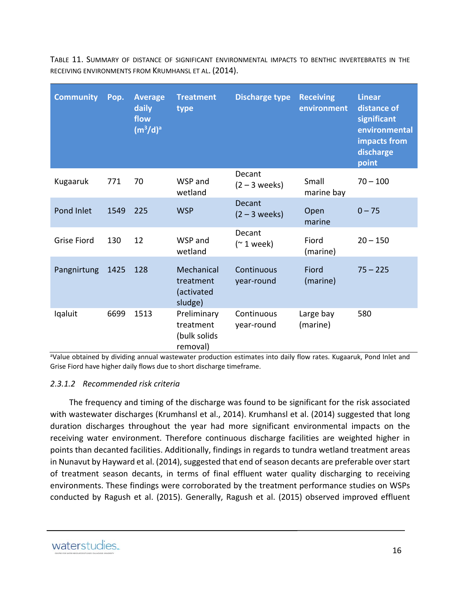| <b>Community</b>   | Pop. | <b>Average</b><br>daily<br>flow<br>(m <sup>3</sup> /d) <sup>a</sup> | <b>Treatment</b><br>type                             | <b>Discharge type</b>        | <b>Receiving</b><br>environment | <b>Linear</b><br>distance of<br>significant<br>environmental<br>impacts from<br>discharge<br>point |
|--------------------|------|---------------------------------------------------------------------|------------------------------------------------------|------------------------------|---------------------------------|----------------------------------------------------------------------------------------------------|
| Kugaaruk           | 771  | 70                                                                  | WSP and<br>wetland                                   | Decant<br>$(2 - 3$ weeks)    | Small<br>marine bay             | $70 - 100$                                                                                         |
| Pond Inlet         | 1549 | 225                                                                 | <b>WSP</b>                                           | Decant<br>$(2 - 3$ weeks)    | Open<br>marine                  | $0 - 75$                                                                                           |
| <b>Grise Fiord</b> | 130  | 12                                                                  | WSP and<br>wetland                                   | Decant<br>$($ $\sim$ 1 week) | Fiord<br>(marine)               | $20 - 150$                                                                                         |
| Pangnirtung        | 1425 | 128                                                                 | Mechanical<br>treatment<br>(activated<br>sludge)     | Continuous<br>year-round     | Fiord<br>(marine)               | $75 - 225$                                                                                         |
| Iqaluit            | 6699 | 1513                                                                | Preliminary<br>treatment<br>(bulk solids<br>removal) | Continuous<br>year-round     | Large bay<br>(marine)           | 580                                                                                                |

TABLE 11. SUMMARY OF DISTANCE OF SIGNIFICANT ENVIRONMENTAL IMPACTS TO BENTHIC INVERTEBRATES IN THE RECEIVING ENVIRONMENTS FROM KRUMHANSL ET AL. (2014).

aValue obtained by dividing annual wastewater production estimates into daily flow rates. Kugaaruk, Pond Inlet and Grise Fiord have higher daily flows due to short discharge timeframe.

#### *2.3.1.2 Recommended risk criteria*

The frequency and timing of the discharge was found to be significant for the risk associated with wastewater discharges (Krumhansl et al., 2014). Krumhansl et al. (2014) suggested that long duration discharges throughout the year had more significant environmental impacts on the receiving water environment. Therefore continuous discharge facilities are weighted higher in points than decanted facilities. Additionally, findings in regards to tundra wetland treatment areas in Nunavut by Hayward et al. (2014), suggested that end of season decants are preferable over start of treatment season decants, in terms of final effluent water quality discharging to receiving environments. These findings were corroborated by the treatment performance studies on WSPs conducted by Ragush et al. (2015). Generally, Ragush et al. (2015) observed improved effluent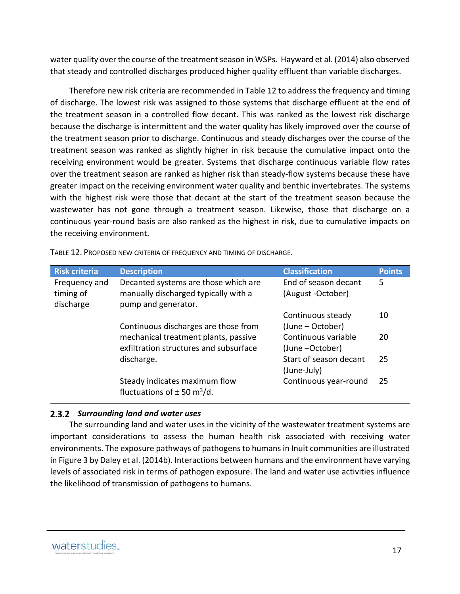water quality over the course of the treatment season in WSPs. Hayward et al. (2014) also observed that steady and controlled discharges produced higher quality effluent than variable discharges.

Therefore new risk criteria are recommended in Table 12 to address the frequency and timing of discharge. The lowest risk was assigned to those systems that discharge effluent at the end of the treatment season in a controlled flow decant. This was ranked as the lowest risk discharge because the discharge is intermittent and the water quality has likely improved over the course of the treatment season prior to discharge. Continuous and steady discharges over the course of the treatment season was ranked as slightly higher in risk because the cumulative impact onto the receiving environment would be greater. Systems that discharge continuous variable flow rates over the treatment season are ranked as higher risk than steady-flow systems because these have greater impact on the receiving environment water quality and benthic invertebrates. The systems with the highest risk were those that decant at the start of the treatment season because the wastewater has not gone through a treatment season. Likewise, those that discharge on a continuous year‐round basis are also ranked as the highest in risk, due to cumulative impacts on the receiving environment.

| <b>Risk criteria</b>                    | <b>Description</b>                                                                                  | <b>Classification</b>                     | <b>Points</b> |
|-----------------------------------------|-----------------------------------------------------------------------------------------------------|-------------------------------------------|---------------|
| Frequency and<br>timing of<br>discharge | Decanted systems are those which are<br>manually discharged typically with a<br>pump and generator. | End of season decant<br>(August -October) | 5             |
|                                         | Continuous discharges are those from                                                                | Continuous steady<br>(June – October)     | 10            |
|                                         | mechanical treatment plants, passive<br>exfiltration structures and subsurface                      | Continuous variable<br>(June -October)    | 20            |
|                                         | discharge.                                                                                          | Start of season decant<br>(June-July)     | 25            |
|                                         | Steady indicates maximum flow<br>fluctuations of $\pm$ 50 m <sup>3</sup> /d.                        | Continuous year-round                     | 25            |

TABLE 12. PROPOSED NEW CRITERIA OF FREQUENCY AND TIMING OF DISCHARGE.

#### *Surrounding land and water uses*

The surrounding land and water uses in the vicinity of the wastewater treatment systems are important considerations to assess the human health risk associated with receiving water environments. The exposure pathways of pathogensto humansin Inuit communities are illustrated in Figure 3 by Daley et al. (2014b). Interactions between humans and the environment have varying levels of associated risk in terms of pathogen exposure. The land and water use activities influence the likelihood of transmission of pathogens to humans.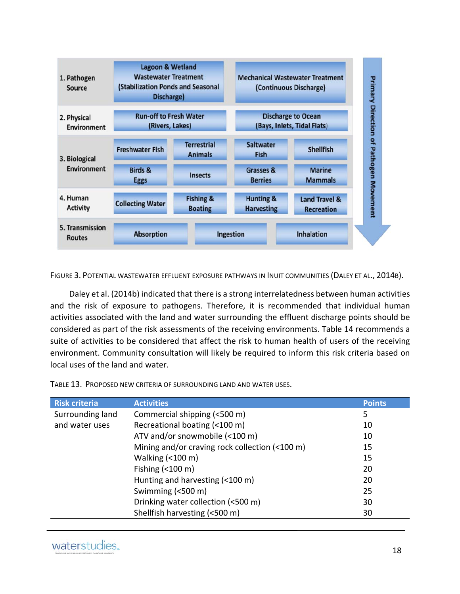

FIGURE 3. POTENTIAL WASTEWATER EFFLUENT EXPOSURE PATHWAYS IN INUIT COMMUNITIES (DALEY ET AL., 2014B).

Daley et al. (2014b) indicated that there is a strong interrelatedness between human activities and the risk of exposure to pathogens. Therefore, it is recommended that individual human activities associated with the land and water surrounding the effluent discharge points should be considered as part of the risk assessments of the receiving environments. Table 14 recommends a suite of activities to be considered that affect the risk to human health of users of the receiving environment. Community consultation will likely be required to inform this risk criteria based on local uses of the land and water.

TABLE 13. PROPOSED NEW CRITERIA OF SURROUNDING LAND AND WATER USES.

| <b>Risk criteria</b> | <b>Activities</b>                              | <b>Points</b> |
|----------------------|------------------------------------------------|---------------|
| Surrounding land     | Commercial shipping (<500 m)                   | 5             |
| and water uses       | Recreational boating (<100 m)                  | 10            |
|                      | ATV and/or snowmobile (<100 m)                 | 10            |
|                      | Mining and/or craving rock collection (<100 m) | 15            |
|                      | Walking $($ < 100 m)                           | 15            |
|                      | Fishing $($ < 100 m)                           | 20            |
|                      | Hunting and harvesting (<100 m)                | 20            |
|                      | Swimming $( < 500 \text{ m})$                  | 25            |
|                      | Drinking water collection (<500 m)             | 30            |
|                      | Shellfish harvesting (<500 m)                  | 30            |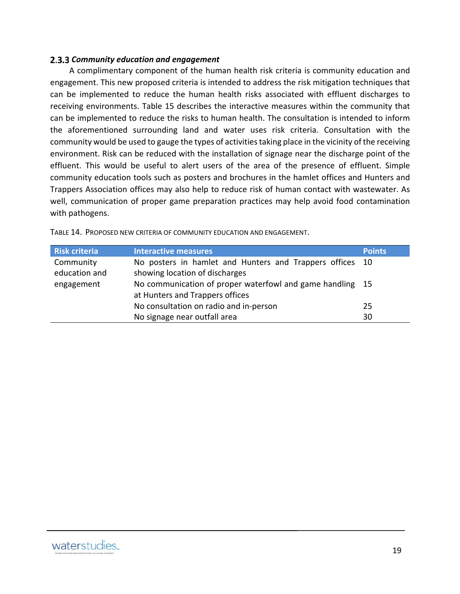#### *Community education and engagement*

A complimentary component of the human health risk criteria is community education and engagement. This new proposed criteria is intended to address the risk mitigation techniques that can be implemented to reduce the human health risks associated with effluent discharges to receiving environments. Table 15 describes the interactive measures within the community that can be implemented to reduce the risks to human health. The consultation is intended to inform the aforementioned surrounding land and water uses risk criteria. Consultation with the community would be used to gauge the types of activities taking place in the vicinity of the receiving environment. Risk can be reduced with the installation of signage near the discharge point of the effluent. This would be useful to alert users of the area of the presence of effluent. Simple community education tools such as posters and brochures in the hamlet offices and Hunters and Trappers Association offices may also help to reduce risk of human contact with wastewater. As well, communication of proper game preparation practices may help avoid food contamination with pathogens.

| <b>Risk criteria</b> | <b>Interactive measures</b>                               | <b>Points</b> |
|----------------------|-----------------------------------------------------------|---------------|
| Community            | No posters in hamlet and Hunters and Trappers offices 10  |               |
| education and        | showing location of discharges                            |               |
| engagement           | No communication of proper waterfowl and game handling 15 |               |
|                      | at Hunters and Trappers offices                           |               |
|                      | No consultation on radio and in-person                    | 25            |
|                      | No signage near outfall area                              | 30            |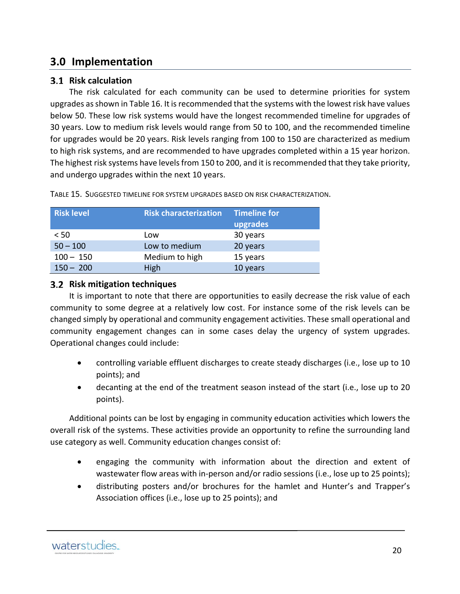# **3.0 Implementation**

#### **Risk calculation**

The risk calculated for each community can be used to determine priorities for system upgrades as shown in Table 16. It is recommended that the systems with the lowest risk have values below 50. These low risk systems would have the longest recommended timeline for upgrades of 30 years. Low to medium risk levels would range from 50 to 100, and the recommended timeline for upgrades would be 20 years. Risk levels ranging from 100 to 150 are characterized as medium to high risk systems, and are recommended to have upgrades completed within a 15 year horizon. The highest risk systems have levels from 150 to 200, and it is recommended that they take priority, and undergo upgrades within the next 10 years.

| <b>Risk level</b> | <b>Risk characterization</b> | Timeline for |
|-------------------|------------------------------|--------------|
|                   |                              | upgrades     |
| < 50              | Low                          | 30 years     |
| $50 - 100$        | Low to medium                | 20 years     |
| $100 - 150$       | Medium to high               | 15 years     |
| $150 - 200$       | High                         | 10 years     |

TABLE 15. SUGGESTED TIMELINE FOR SYSTEM UPGRADES BASED ON RISK CHARACTERIZATION.

#### **Risk mitigation techniques**

It is important to note that there are opportunities to easily decrease the risk value of each community to some degree at a relatively low cost. For instance some of the risk levels can be changed simply by operational and community engagement activities. These small operational and community engagement changes can in some cases delay the urgency of system upgrades. Operational changes could include:

- controlling variable effluent discharges to create steady discharges (i.e., lose up to 10 points); and
- decanting at the end of the treatment season instead of the start (i.e., lose up to 20 points).

Additional points can be lost by engaging in community education activities which lowers the overall risk of the systems. These activities provide an opportunity to refine the surrounding land use category as well. Community education changes consist of:

- engaging the community with information about the direction and extent of wastewater flow areas with in-person and/or radio sessions (i.e., lose up to 25 points);
- distributing posters and/or brochures for the hamlet and Hunter's and Trapper's Association offices (i.e., lose up to 25 points); and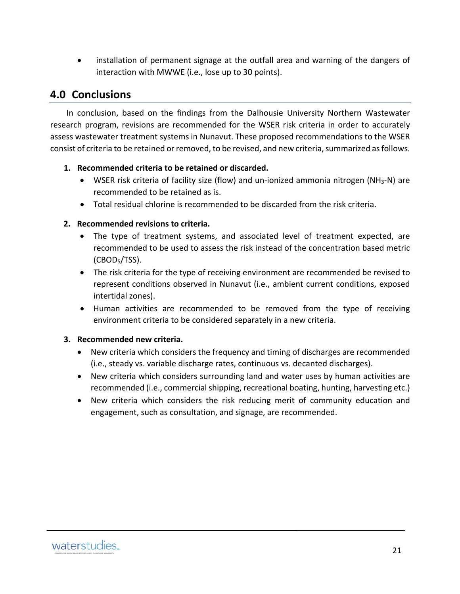installation of permanent signage at the outfall area and warning of the dangers of interaction with MWWE (i.e., lose up to 30 points).

### **4.0 Conclusions**

In conclusion, based on the findings from the Dalhousie University Northern Wastewater research program, revisions are recommended for the WSER risk criteria in order to accurately assess wastewater treatment systems in Nunavut. These proposed recommendations to the WSER consist of criteria to be retained or removed, to be revised, and new criteria, summarized as follows.

#### **1. Recommended criteria to be retained or discarded.**

- WSER risk criteria of facility size (flow) and un-ionized ammonia nitrogen (NH<sub>3</sub>-N) are recommended to be retained as is.
- Total residual chlorine is recommended to be discarded from the risk criteria.

#### **2. Recommended revisions to criteria.**

- The type of treatment systems, and associated level of treatment expected, are recommended to be used to assess the risk instead of the concentration based metric (CBOD5/TSS).
- The risk criteria for the type of receiving environment are recommended be revised to represent conditions observed in Nunavut (i.e., ambient current conditions, exposed intertidal zones).
- Human activities are recommended to be removed from the type of receiving environment criteria to be considered separately in a new criteria.

#### **3. Recommended new criteria.**

- New criteria which considers the frequency and timing of discharges are recommended (i.e., steady vs. variable discharge rates, continuous vs. decanted discharges).
- New criteria which considers surrounding land and water uses by human activities are recommended (i.e., commercial shipping, recreational boating, hunting, harvesting etc.)
- New criteria which considers the risk reducing merit of community education and engagement, such as consultation, and signage, are recommended.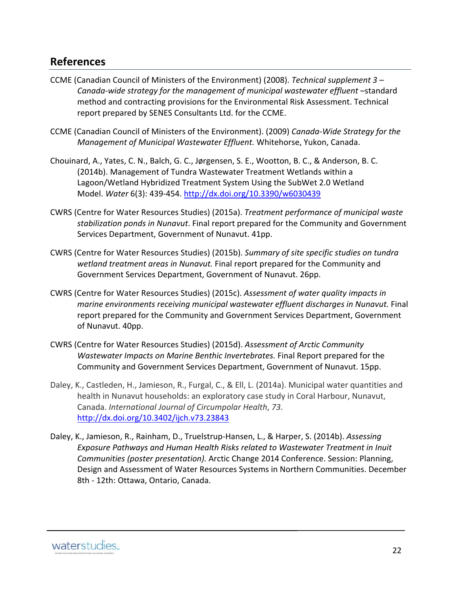# **References**

- CCME (Canadian Council of Ministers of the Environment) (2008). *Technical supplement 3 – Canada‐wide strategy for the management of municipal wastewater effluent* –standard method and contracting provisions for the Environmental Risk Assessment. Technical report prepared by SENES Consultants Ltd. for the CCME.
- CCME (Canadian Council of Ministers of the Environment). (2009) *Canada‐Wide Strategy for the Management of Municipal Wastewater Effluent.* Whitehorse, Yukon, Canada.
- Chouinard, A., Yates, C. N., Balch, G. C., Jørgensen, S. E., Wootton, B. C., & Anderson, B. C. (2014b). Management of Tundra Wastewater Treatment Wetlands within a Lagoon/Wetland Hybridized Treatment System Using the SubWet 2.0 Wetland Model. *Water* 6(3): 439‐454. http://dx.doi.org/10.3390/w6030439
- CWRS (Centre for Water Resources Studies) (2015a). *Treatment performance of municipal waste stabilization ponds in Nunavut*. Final report prepared for the Community and Government Services Department, Government of Nunavut. 41pp.
- CWRS (Centre for Water Resources Studies) (2015b). *Summary of site specific studies on tundra wetland treatment areas in Nunavut.* Final report prepared for the Community and Government Services Department, Government of Nunavut. 26pp.
- CWRS (Centre for Water Resources Studies) (2015c). *Assessment of water quality impacts in marine environments receiving municipal wastewater effluent discharges in Nunavut.* Final report prepared for the Community and Government Services Department, Government of Nunavut. 40pp.
- CWRS (Centre for Water Resources Studies) (2015d). *Assessment of Arctic Community Wastewater Impacts on Marine Benthic Invertebrates.* Final Report prepared for the Community and Government Services Department, Government of Nunavut. 15pp.
- Daley, K., Castleden, H., Jamieson, R., Furgal, C., & Ell, L. (2014a). Municipal water quantities and health in Nunavut households: an exploratory case study in Coral Harbour, Nunavut, Canada. *International Journal of Circumpolar Health*, *73*. http://dx.doi.org/10.3402/ijch.v73.23843
- Daley, K., Jamieson, R., Rainham, D., Truelstrup‐Hansen, L., & Harper, S. (2014b). *Assessing Exposure Pathways and Human Health Risks related to Wastewater Treatment in Inuit Communities (poster presentation).* Arctic Change 2014 Conference. Session: Planning, Design and Assessment of Water Resources Systems in Northern Communities. December 8th ‐ 12th: Ottawa, Ontario, Canada.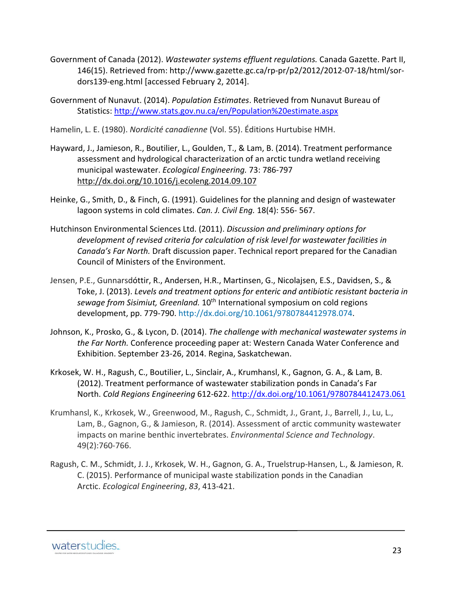- Government of Canada (2012). *Wastewater systems effluent regulations.* Canada Gazette. Part II, 146(15). Retrieved from: http://www.gazette.gc.ca/rp‐pr/p2/2012/2012‐07‐18/html/sor‐ dors139‐eng.html [accessed February 2, 2014].
- Government of Nunavut. (2014). *Population Estimates*. Retrieved from Nunavut Bureau of Statistics: http://www.stats.gov.nu.ca/en/Population%20estimate.aspx
- Hamelin, L. E. (1980). *Nordicité canadienne* (Vol. 55). Éditions Hurtubise HMH.
- Hayward, J., Jamieson, R., Boutilier, L., Goulden, T., & Lam, B. (2014). Treatment performance assessment and hydrological characterization of an arctic tundra wetland receiving municipal wastewater. *Ecological Engineering.* 73: 786‐797 http://dx.doi.org/10.1016/j.ecoleng.2014.09.107
- Heinke, G., Smith, D., & Finch, G. (1991). Guidelines for the planning and design of wastewater lagoon systems in cold climates. *Can. J. Civil Eng.* 18(4): 556‐ 567.
- Hutchinson Environmental Sciences Ltd. (2011). *Discussion and preliminary options for development of revised criteria for calculation of risk level for wastewater facilities in Canada's Far North.* Draft discussion paper. Technical report prepared for the Canadian Council of Ministers of the Environment.
- Jensen, P.E., Gunnarsdóttir, R., Andersen, H.R., Martinsen, G., Nicolajsen, E.S., Davidsen, S., & Toke, J. (2013). *Levels and treatment options for enteric and antibiotic resistant bacteria in sewage from Sisimiut, Greenland.* 10th International symposium on cold regions development, pp. 779‐790. http://dx.doi.org/10.1061/9780784412978.074.
- Johnson, K., Prosko, G., & Lycon, D. (2014). *The challenge with mechanical wastewater systems in the Far North.* Conference proceeding paper at: Western Canada Water Conference and Exhibition. September 23‐26, 2014. Regina, Saskatchewan.
- Krkosek, W. H., Ragush, C., Boutilier, L., Sinclair, A., Krumhansl, K., Gagnon, G. A., & Lam, B. (2012). Treatment performance of wastewater stabilization ponds in Canada's Far North. *Cold Regions Engineering* 612‐622. http://dx.doi.org/10.1061/9780784412473.061
- Krumhansl, K., Krkosek, W., Greenwood, M., Ragush, C., Schmidt, J., Grant, J., Barrell, J., Lu, L., Lam, B., Gagnon, G., & Jamieson, R. (2014). Assessment of arctic community wastewater impacts on marine benthic invertebrates. *Environmental Science and Technology*. 49(2):760‐766.
- Ragush, C. M., Schmidt, J. J., Krkosek, W. H., Gagnon, G. A., Truelstrup‐Hansen, L., & Jamieson, R. C. (2015). Performance of municipal waste stabilization ponds in the Canadian Arctic. *Ecological Engineering*, *83*, 413‐421.

waterstudies.